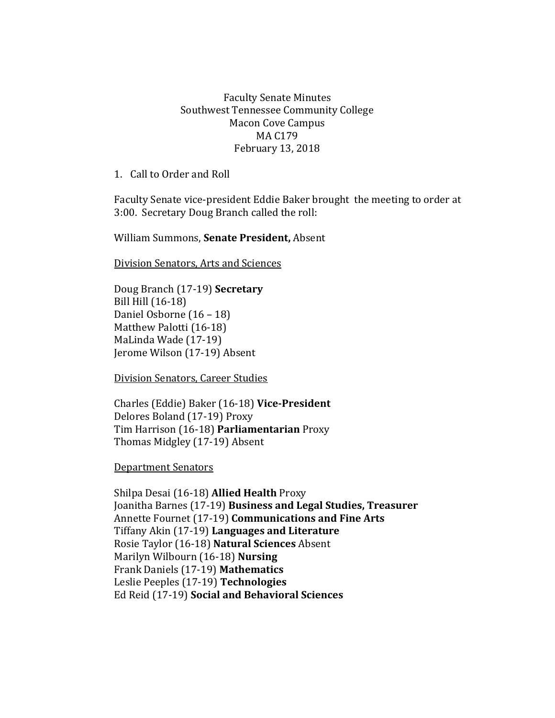## Faculty Senate Minutes Southwest Tennessee Community College Macon Cove Campus MA C179 February 13, 2018

1. Call to Order and Roll

Faculty Senate vice-president Eddie Baker brought the meeting to order at 3:00. Secretary Doug Branch called the roll:

William Summons, **Senate President,** Absent

Division Senators, Arts and Sciences

Doug Branch (17-19) **Secretary** Bill Hill (16-18) Daniel Osborne (16 – 18) Matthew Palotti (16-18) MaLinda Wade (17-19) Jerome Wilson (17-19) Absent

Division Senators, Career Studies

Charles (Eddie) Baker (16-18) **Vice-President** Delores Boland (17-19) Proxy Tim Harrison (16-18) **Parliamentarian** Proxy Thomas Midgley (17-19) Absent

Department Senators

Shilpa Desai (16-18) **Allied Health** Proxy Joanitha Barnes (17-19) **Business and Legal Studies, Treasurer** Annette Fournet (17-19) **Communications and Fine Arts** Tiffany Akin (17-19) **Languages and Literature** Rosie Taylor (16-18) **Natural Sciences** Absent Marilyn Wilbourn (16-18) **Nursing** Frank Daniels (17-19) **Mathematics** Leslie Peeples (17-19) **Technologies**  Ed Reid (17-19) **Social and Behavioral Sciences**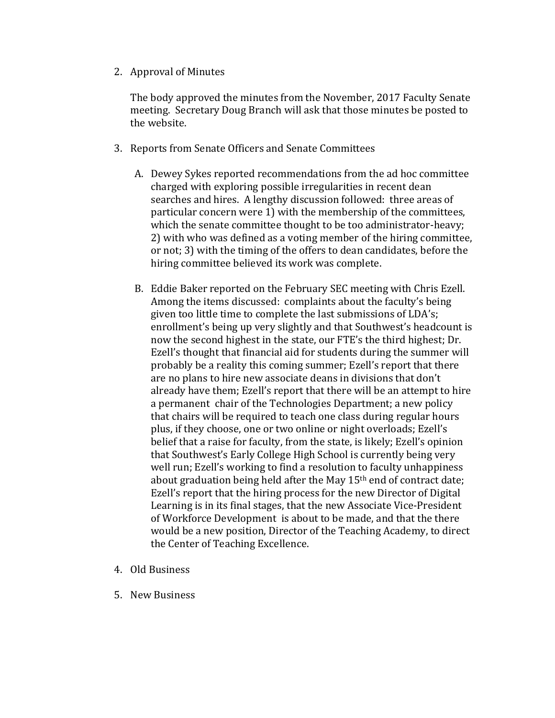2. Approval of Minutes

The body approved the minutes from the November, 2017 Faculty Senate meeting. Secretary Doug Branch will ask that those minutes be posted to the website.

- 3. Reports from Senate Officers and Senate Committees
	- A. Dewey Sykes reported recommendations from the ad hoc committee charged with exploring possible irregularities in recent dean searches and hires. A lengthy discussion followed: three areas of particular concern were 1) with the membership of the committees, which the senate committee thought to be too administrator-heavy; 2) with who was defined as a voting member of the hiring committee, or not; 3) with the timing of the offers to dean candidates, before the hiring committee believed its work was complete.
	- B. Eddie Baker reported on the February SEC meeting with Chris Ezell. Among the items discussed: complaints about the faculty's being given too little time to complete the last submissions of LDA's; enrollment's being up very slightly and that Southwest's headcount is now the second highest in the state, our FTE's the third highest; Dr. Ezell's thought that financial aid for students during the summer will probably be a reality this coming summer; Ezell's report that there are no plans to hire new associate deans in divisions that don't already have them; Ezell's report that there will be an attempt to hire a permanent chair of the Technologies Department; a new policy that chairs will be required to teach one class during regular hours plus, if they choose, one or two online or night overloads; Ezell's belief that a raise for faculty, from the state, is likely; Ezell's opinion that Southwest's Early College High School is currently being very well run; Ezell's working to find a resolution to faculty unhappiness about graduation being held after the May 15th end of contract date; Ezell's report that the hiring process for the new Director of Digital Learning is in its final stages, that the new Associate Vice-President of Workforce Development is about to be made, and that the there would be a new position, Director of the Teaching Academy, to direct the Center of Teaching Excellence.
- 4. Old Business
- 5. New Business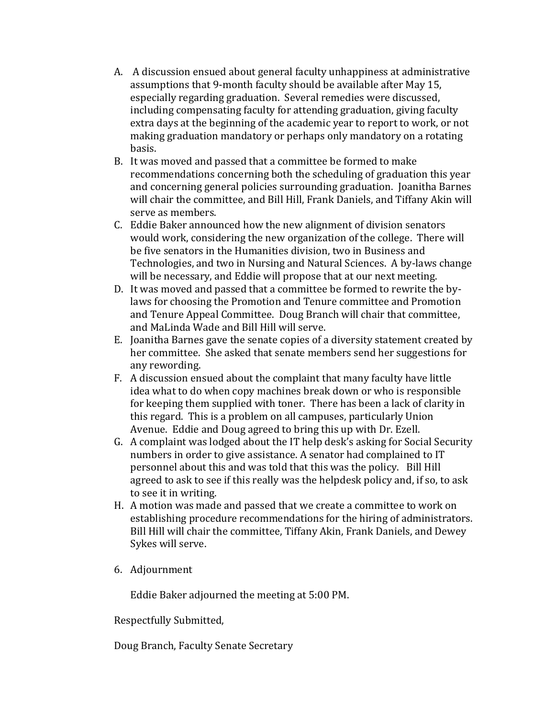- A. A discussion ensued about general faculty unhappiness at administrative assumptions that 9-month faculty should be available after May 15, especially regarding graduation. Several remedies were discussed, including compensating faculty for attending graduation, giving faculty extra days at the beginning of the academic year to report to work, or not making graduation mandatory or perhaps only mandatory on a rotating basis.
- B. It was moved and passed that a committee be formed to make recommendations concerning both the scheduling of graduation this year and concerning general policies surrounding graduation. Joanitha Barnes will chair the committee, and Bill Hill, Frank Daniels, and Tiffany Akin will serve as members.
- C. Eddie Baker announced how the new alignment of division senators would work, considering the new organization of the college. There will be five senators in the Humanities division, two in Business and Technologies, and two in Nursing and Natural Sciences. A by-laws change will be necessary, and Eddie will propose that at our next meeting.
- D. It was moved and passed that a committee be formed to rewrite the bylaws for choosing the Promotion and Tenure committee and Promotion and Tenure Appeal Committee. Doug Branch will chair that committee, and MaLinda Wade and Bill Hill will serve.
- E. Joanitha Barnes gave the senate copies of a diversity statement created by her committee. She asked that senate members send her suggestions for any rewording.
- F. A discussion ensued about the complaint that many faculty have little idea what to do when copy machines break down or who is responsible for keeping them supplied with toner. There has been a lack of clarity in this regard. This is a problem on all campuses, particularly Union Avenue. Eddie and Doug agreed to bring this up with Dr. Ezell.
- G. A complaint was lodged about the IT help desk's asking for Social Security numbers in order to give assistance. A senator had complained to IT personnel about this and was told that this was the policy. Bill Hill agreed to ask to see if this really was the helpdesk policy and, if so, to ask to see it in writing.
- H. A motion was made and passed that we create a committee to work on establishing procedure recommendations for the hiring of administrators. Bill Hill will chair the committee, Tiffany Akin, Frank Daniels, and Dewey Sykes will serve.
- 6. Adjournment

Eddie Baker adjourned the meeting at 5:00 PM.

Respectfully Submitted,

Doug Branch, Faculty Senate Secretary